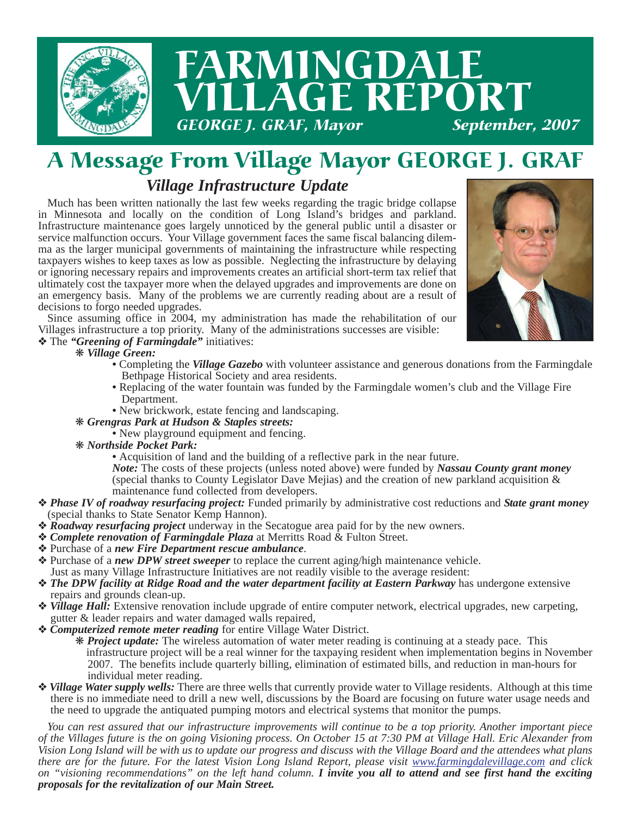

## *Village Infrastructure Update* A Message From Village Mayor GEORGE J. GRAF

Much has been written nationally the last few weeks regarding the tragic bridge collapse in Minnesota and locally on the condition of Long Island's bridges and parkland. Infrastructure maintenance goes largely unnoticed by the general public until a disaster or service malfunction occurs. Your Village government faces the same fiscal balancing dilemma as the larger municipal governments of maintaining the infrastructure while respecting taxpayers wishes to keep taxes as low as possible. Neglecting the infrastructure by delaying or ignoring necessary repairs and improvements creates an artificial short-term tax relief that ultimately cost the taxpayer more when the delayed upgrades and improvements are done on an emergency basis. Many of the problems we are currently reading about are a result of decisions to forgo needed upgrades.



Since assuming office in 2004, my administration has made the rehabilitation of our Villages infrastructure a top priority. Many of the administrations successes are visible:

#### ❖ The *"Greening of Farmingdale"* initiatives:

#### ❋ *Village Green:*

- Completing the *Village Gazebo* with volunteer assistance and generous donations from the Farmingdale Bethpage Historical Society and area residents.
- Replacing of the water fountain was funded by the Farmingdale women's club and the Village Fire Department.
- New brickwork, estate fencing and landscaping.
- ❋ *Grengras Park at Hudson & Staples streets:* 
	- New playground equipment and fencing.
- ❋ *Northside Pocket Park:*
	- Acquisition of land and the building of a reflective park in the near future.
	- *Note:* The costs of these projects (unless noted above) were funded by *Nassau County grant money* (special thanks to County Legislator Dave Mejias) and the creation of new parkland acquisition & maintenance fund collected from developers.
- ❖ *Phase IV of roadway resurfacing project:* Funded primarily by administrative cost reductions and *State grant money* (special thanks to State Senator Kemp Hannon).
- ❖ *Roadway resurfacing project* underway in the Secatogue area paid for by the new owners.
- ❖ *Complete renovation of Farmingdale Plaza* at Merritts Road & Fulton Street.
- ❖ Purchase of a *new Fire Department rescue ambulance*.
- ❖ Purchase of a *new DPW street sweeper* to replace the current aging/high maintenance vehicle. Just as many Village Infrastructure Initiatives are not readily visible to the average resident:
- **❖ The DPW facility at Ridge Road and the water department facility at Eastern Parkway** has undergone extensive repairs and grounds clean-up.
- ❖ *Village Hall:* Extensive renovation include upgrade of entire computer network, electrical upgrades, new carpeting, gutter & leader repairs and water damaged walls repaired,
- ❖ *Computerized remote meter reading* for entire Village Water District.

❋ *Project update:* The wireless automation of water meter reading is continuing at a steady pace. This infrastructure project will be a real winner for the taxpaying resident when implementation begins in November 2007. The benefits include quarterly billing, elimination of estimated bills, and reduction in man-hours for individual meter reading.

❖ *Village Water supply wells:* There are three wells that currently provide water to Village residents. Although at this time there is no immediate need to drill a new well, discussions by the Board are focusing on future water usage needs and the need to upgrade the antiquated pumping motors and electrical systems that monitor the pumps.

*You can rest assured that our infrastructure improvements will continue to be a top priority. Another important piece of the Villages future is the on going Visioning process. On October 15 at 7:30 PM at Village Hall. Eric Alexander from Vision Long Island will be with us to update our progress and discuss with the Village Board and the attendees what plans there are for the future. For the latest Vision Long Island Report, please visit www.farmingdalevillage.com and click on "visioning recommendations" on the left hand column. I invite you all to attend and see first hand the exciting proposals for the revitalization of our Main Street.*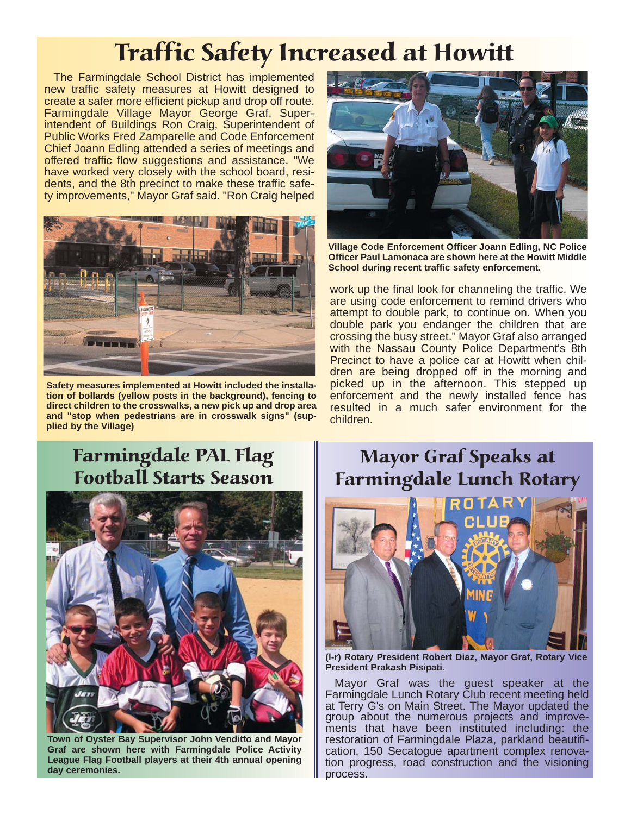# Traffic Safety Increased at Howitt

The Farmingdale School District has implemented new traffic safety measures at Howitt designed to create a safer more efficient pickup and drop off route. Farmingdale Village Mayor George Graf, Superintendent of Buildings Ron Craig, Superintendent of Public Works Fred Zamparelle and Code Enforcement Chief Joann Edling attended a series of meetings and offered traffic flow suggestions and assistance. "We have worked very closely with the school board, residents, and the 8th precinct to make these traffic safety improvements," Mayor Graf said. "Ron Craig helped



**Safety measures implemented at Howitt included the installation of bollards (yellow posts in the background), fencing to direct children to the crosswalks, a new pick up and drop area and "stop when pedestrians are in crosswalk signs" (supplied by the Village)**



**Village Code Enforcement Officer Joann Edling, NC Police Officer Paul Lamonaca are shown here at the Howitt Middle School during recent traffic safety enforcement.**

work up the final look for channeling the traffic. We are using code enforcement to remind drivers who attempt to double park, to continue on. When you double park you endanger the children that are crossing the busy street." Mayor Graf also arranged with the Nassau County Police Department's 8th Precinct to have a police car at Howitt when children are being dropped off in the morning and picked up in the afternoon. This stepped up enforcement and the newly installed fence has resulted in a much safer environment for the children.

## Farmingdale PAL Flag Football Starts Season



**Town of Oyster Bay Supervisor John Venditto and Mayor Graf are shown here with Farmingdale Police Activity League Flag Football players at their 4th annual opening day ceremonies.**

Mayor Graf Speaks at Farmingdale Lunch Rotary



**(l-r) Rotary President Robert Diaz, Mayor Graf, Rotary Vice President Prakash Pisipati.**

Mayor Graf was the guest speaker at the Farmingdale Lunch Rotary Club recent meeting held at Terry G's on Main Street. The Mayor updated the group about the numerous projects and improvements that have been instituted including: the restoration of Farmingdale Plaza, parkland beautification, 150 Secatogue apartment complex renovation progress, road construction and the visioning process.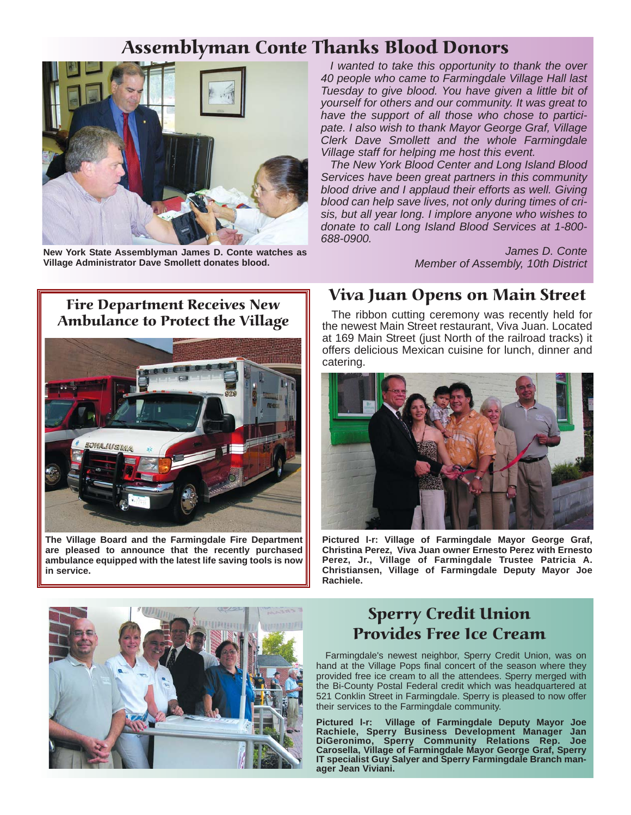## Assemblyman Conte Thanks Blood Donors



**New York State Assemblyman James D. Conte watches as Village Administrator Dave Smollett donates blood.**

*I wanted to take this opportunity to thank the over 40 people who came to Farmingdale Village Hall last Tuesday to give blood. You have given a little bit of yourself for others and our community. It was great to have the support of all those who chose to participate. I also wish to thank Mayor George Graf, Village Clerk Dave Smollett and the whole Farmingdale Village staff for helping me host this event.* 

*The New York Blood Center and Long Island Blood Services have been great partners in this community blood drive and I applaud their efforts as well. Giving blood can help save lives, not only during times of crisis, but all year long. I implore anyone who wishes to donate to call Long Island Blood Services at 1-800- 688-0900.* 

> *James D. Conte Member of Assembly, 10th District*

#### Fire Department Receives New Ambulance to Protect the Village



**The Village Board and the Farmingdale Fire Department are pleased to announce that the recently purchased ambulance equipped with the latest life saving tools is now in service.**

#### Viva Juan Opens on Main Street

The ribbon cutting ceremony was recently held for the newest Main Street restaurant, Viva Juan. Located at 169 Main Street (just North of the railroad tracks) it offers delicious Mexican cuisine for lunch, dinner and catering.



**Pictured l-r: Village of Farmingdale Mayor George Graf, Christina Perez, Viva Juan owner Ernesto Perez with Ernesto Perez, Jr., Village of Farmingdale Trustee Patricia A. Christiansen, Village of Farmingdale Deputy Mayor Joe Rachiele.**



### Sperry Credit Union Provides Free Ice Cream

Farmingdale's newest neighbor, Sperry Credit Union, was on hand at the Village Pops final concert of the season where they provided free ice cream to all the attendees. Sperry merged with the Bi-County Postal Federal credit which was headquartered at 521 Conklin Street in Farmingdale. Sperry is pleased to now offer their services to the Farmingdale community.

**Pictured l-r: Village of Farmingdale Deputy Mayor Joe Rachiele, Sperry Business Development Manager Jan DiGeronimo, Sperry Community Relations Rep. Joe Carosella, Village of Farmingdale Mayor George Graf, Sperry IT specialist Guy Salyer and Sperry Farmingdale Branch manager Jean Viviani.**